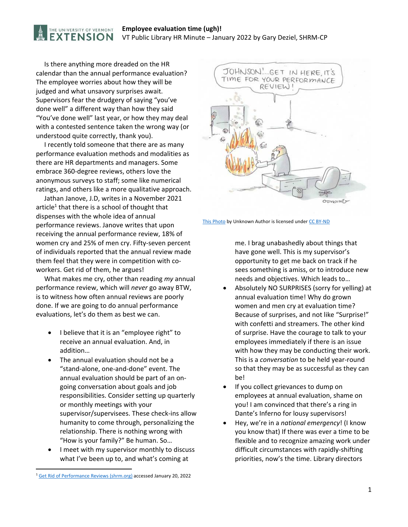## **Employee evaluation time (ugh)!**  VT Public Library HR Minute – January 2022 by Gary Deziel, SHRM‐CP

 Is there anything more dreaded on the HR calendar than the annual performance evaluation? The employee worries about how they will be judged and what unsavory surprises await. Supervisors fear the drudgery of saying "you've done well" a different way than how they said "You've done well" last year, or how they may deal with a contested sentence taken the wrong way (or understood quite correctly, thank you).

THE UNIVERSITY OF VERMONT **EXTENSION** 

 I recently told someone that there are as many performance evaluation methods and modalities as there are HR departments and managers. Some embrace 360‐degree reviews, others love the anonymous surveys to staff; some like numerical ratings, and others like a more qualitative approach.

 Jathan Janove, J.D, writes in a November 2021 article<sup>1</sup> that there is a school of thought that dispenses with the whole idea of annual performance reviews. Janove writes that upon receiving the annual performance review, 18% of women cry and 25% of men cry. Fifty‐seven percent of individuals reported that the annual review made them feel that they were in competition with co‐ workers. Get rid of them, he argues!

 What makes me cry, other than reading *my* annual performance review, which will *never* go away BTW, is to witness how often annual reviews are poorly done. If we are going to do annual performance evaluations, let's do them as best we can.

- I believe that it is an "employee right" to receive an annual evaluation. And, in addition…
- The annual evaluation should not be a "stand‐alone, one‐and‐done" event. The annual evaluation should be part of an on‐ going conversation about goals and job responsibilities. Consider setting up quarterly or monthly meetings with your supervisor/supervisees. These check‐ins allow humanity to come through, personalizing the relationship. There is nothing wrong with "How is your family?" Be human. So…
- I meet with my supervisor monthly to discuss what I've been up to, and what's coming at



This Photo by Unknown Author is licensed under CC BY-ND

me. I brag unabashedly about things that have gone well. This is my supervisor's opportunity to get me back on track if he sees something is amiss, or to introduce new needs and objectives. Which leads to…

- Absolutely NO SURPRISES (sorry for yelling) at annual evaluation time! Why do grown women and men cry at evaluation time? Because of surprises, and not like "Surprise!" with confetti and streamers. The other kind of surprise. Have the courage to talk to your employees immediately if there is an issue with how they may be conducting their work. This is a *conversation* to be held year‐round so that they may be as successful as they can be!
- If you collect grievances to dump on employees at annual evaluation, shame on you! I am convinced that there's a ring in Dante's Inferno for lousy supervisors!
- Hey, we're in a *national emergency*! (I know you know that) If there was ever a time to be flexible and to recognize amazing work under difficult circumstances with rapidly‐shifting priorities, now's the time. Library directors

<sup>&</sup>lt;sup>1</sup> Get Rid of Performance Reviews (shrm.org) accessed January 20, 2022